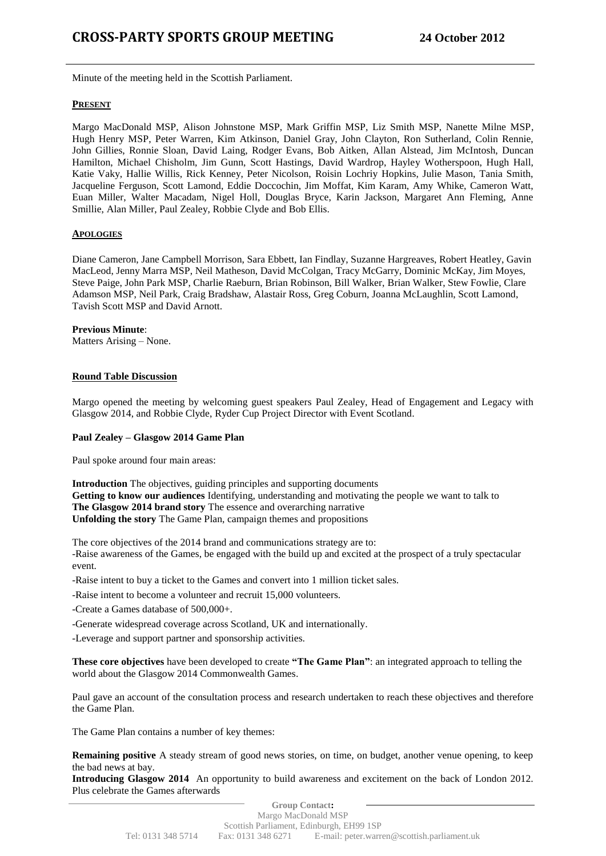Minute of the meeting held in the Scottish Parliament.

## **PRESENT**

Margo MacDonald MSP, Alison Johnstone MSP, Mark Griffin MSP, Liz Smith MSP, Nanette Milne MSP, Hugh Henry MSP, Peter Warren, Kim Atkinson, Daniel Gray, John Clayton, Ron Sutherland, Colin Rennie, John Gillies, Ronnie Sloan, David Laing, Rodger Evans, Bob Aitken, Allan Alstead, Jim McIntosh, Duncan Hamilton, Michael Chisholm, Jim Gunn, Scott Hastings, David Wardrop, Hayley Wotherspoon, Hugh Hall, Katie Vaky, Hallie Willis, Rick Kenney, Peter Nicolson, Roisin Lochriy Hopkins, Julie Mason, Tania Smith, Jacqueline Ferguson, Scott Lamond, Eddie Doccochin, Jim Moffat, Kim Karam, Amy Whike, Cameron Watt, Euan Miller, Walter Macadam, Nigel Holl, Douglas Bryce, Karin Jackson, Margaret Ann Fleming, Anne Smillie, Alan Miller, Paul Zealey, Robbie Clyde and Bob Ellis.

# **APOLOGIES**

Diane Cameron, Jane Campbell Morrison, Sara Ebbett, Ian Findlay, Suzanne Hargreaves, Robert Heatley, Gavin MacLeod, Jenny Marra MSP, Neil Matheson, David McColgan, Tracy McGarry, Dominic McKay, Jim Moyes, Steve Paige, John Park MSP, Charlie Raeburn, Brian Robinson, Bill Walker, Brian Walker, Stew Fowlie, Clare Adamson MSP, Neil Park, Craig Bradshaw, Alastair Ross, Greg Coburn, Joanna McLaughlin, Scott Lamond, Tavish Scott MSP and David Arnott.

## **Previous Minute**:

Matters Arising – None.

# **Round Table Discussion**

Margo opened the meeting by welcoming guest speakers Paul Zealey, Head of Engagement and Legacy with Glasgow 2014, and Robbie Clyde, Ryder Cup Project Director with Event Scotland.

# **Paul Zealey – Glasgow 2014 Game Plan**

Paul spoke around four main areas:

**Introduction** The objectives, guiding principles and supporting documents **Getting to know our audiences** Identifying, understanding and motivating the people we want to talk to **The Glasgow 2014 brand story** The essence and overarching narrative **Unfolding the story** The Game Plan, campaign themes and propositions

The core objectives of the 2014 brand and communications strategy are to: -Raise awareness of the Games, be engaged with the build up and excited at the prospect of a truly spectacular event.

-Raise intent to buy a ticket to the Games and convert into 1 million ticket sales.

-Raise intent to become a volunteer and recruit 15,000 volunteers.

-Create a Games database of 500,000+.

-Generate widespread coverage across Scotland, UK and internationally.

-Leverage and support partner and sponsorship activities.

**These core objectives** have been developed to create **"The Game Plan"**: an integrated approach to telling the world about the Glasgow 2014 Commonwealth Games.

Paul gave an account of the consultation process and research undertaken to reach these objectives and therefore the Game Plan.

The Game Plan contains a number of key themes:

**Remaining positive** A steady stream of good news stories, on time, on budget, another venue opening, to keep the bad news at bay.

**Introducing Glasgow 2014** An opportunity to build awareness and excitement on the back of London 2012. Plus celebrate the Games afterwards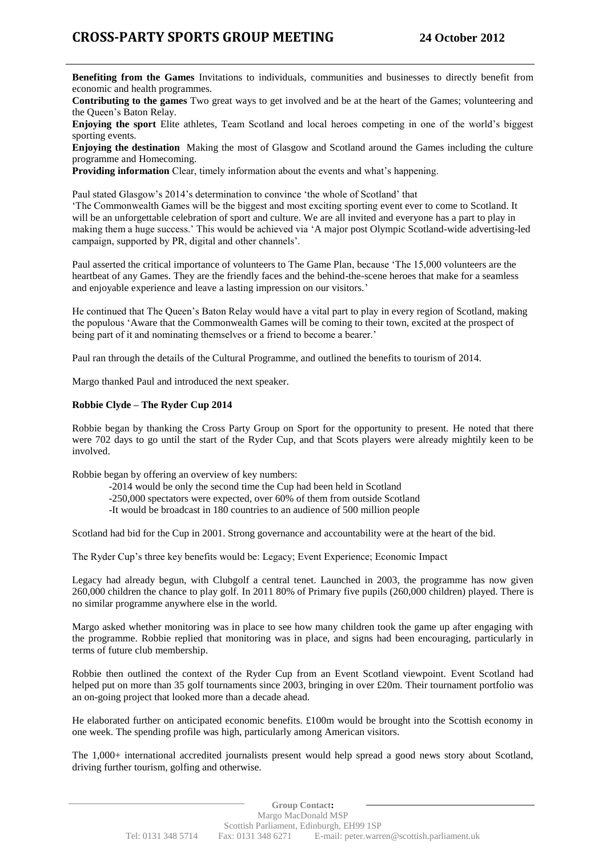**Benefiting from the Games** Invitations to individuals, communities and businesses to directly benefit from economic and health programmes.

**Contributing to the games** Two great ways to get involved and be at the heart of the Games; volunteering and the Queen's Baton Relay.

**Enjoying the sport** Elite athletes, Team Scotland and local heroes competing in one of the world's biggest sporting events.

**Enjoying the destination** Making the most of Glasgow and Scotland around the Games including the culture programme and Homecoming.

**Providing information** Clear, timely information about the events and what's happening.

Paul stated Glasgow's 2014's determination to convince 'the whole of Scotland' that

'The Commonwealth Games will be the biggest and most exciting sporting event ever to come to Scotland. It will be an unforgettable celebration of sport and culture. We are all invited and everyone has a part to play in making them a huge success.' This would be achieved via 'A major post Olympic Scotland-wide advertising-led campaign, supported by PR, digital and other channels'.

Paul asserted the critical importance of volunteers to The Game Plan, because 'The 15,000 volunteers are the heartbeat of any Games. They are the friendly faces and the behind-the-scene heroes that make for a seamless and enjoyable experience and leave a lasting impression on our visitors.'

He continued that The Queen's Baton Relay would have a vital part to play in every region of Scotland, making the populous 'Aware that the Commonwealth Games will be coming to their town, excited at the prospect of being part of it and nominating themselves or a friend to become a bearer.'

Paul ran through the details of the Cultural Programme, and outlined the benefits to tourism of 2014.

Margo thanked Paul and introduced the next speaker.

# **Robbie Clyde – The Ryder Cup 2014**

Robbie began by thanking the Cross Party Group on Sport for the opportunity to present. He noted that there were 702 days to go until the start of the Ryder Cup, and that Scots players were already mightily keen to be involved.

Robbie began by offering an overview of key numbers:

- -2014 would be only the second time the Cup had been held in Scotland
- -250,000 spectators were expected, over 60% of them from outside Scotland
- -It would be broadcast in 180 countries to an audience of 500 million people

Scotland had bid for the Cup in 2001. Strong governance and accountability were at the heart of the bid.

The Ryder Cup's three key benefits would be: Legacy; Event Experience; Economic Impact

Legacy had already begun, with Clubgolf a central tenet. Launched in 2003, the programme has now given 260,000 children the chance to play golf. In 2011 80% of Primary five pupils (260,000 children) played. There is no similar programme anywhere else in the world.

Margo asked whether monitoring was in place to see how many children took the game up after engaging with the programme. Robbie replied that monitoring was in place, and signs had been encouraging, particularly in terms of future club membership.

Robbie then outlined the context of the Ryder Cup from an Event Scotland viewpoint. Event Scotland had helped put on more than 35 golf tournaments since 2003, bringing in over £20m. Their tournament portfolio was an on-going project that looked more than a decade ahead.

He elaborated further on anticipated economic benefits. £100m would be brought into the Scottish economy in one week. The spending profile was high, particularly among American visitors.

The 1,000+ international accredited journalists present would help spread a good news story about Scotland, driving further tourism, golfing and otherwise.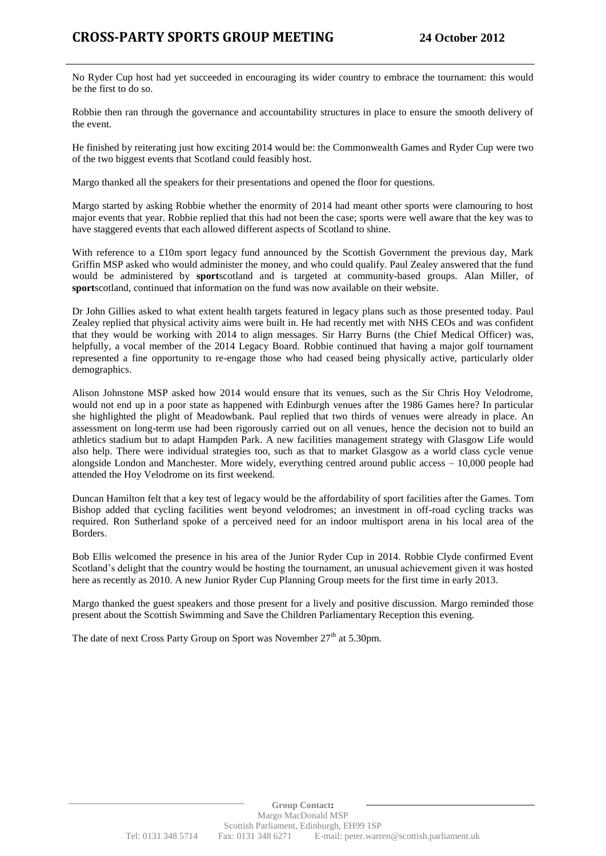No Ryder Cup host had yet succeeded in encouraging its wider country to embrace the tournament: this would be the first to do so.

Robbie then ran through the governance and accountability structures in place to ensure the smooth delivery of the event.

He finished by reiterating just how exciting 2014 would be: the Commonwealth Games and Ryder Cup were two of the two biggest events that Scotland could feasibly host.

Margo thanked all the speakers for their presentations and opened the floor for questions.

Margo started by asking Robbie whether the enormity of 2014 had meant other sports were clamouring to host major events that year. Robbie replied that this had not been the case; sports were well aware that the key was to have staggered events that each allowed different aspects of Scotland to shine.

With reference to a £10m sport legacy fund announced by the Scottish Government the previous day, Mark Griffin MSP asked who would administer the money, and who could qualify. Paul Zealey answered that the fund would be administered by **sport**scotland and is targeted at community-based groups. Alan Miller, of **sport**scotland, continued that information on the fund was now available on their website.

Dr John Gillies asked to what extent health targets featured in legacy plans such as those presented today. Paul Zealey replied that physical activity aims were built in. He had recently met with NHS CEOs and was confident that they would be working with 2014 to align messages. Sir Harry Burns (the Chief Medical Officer) was, helpfully, a vocal member of the 2014 Legacy Board. Robbie continued that having a major golf tournament represented a fine opportunity to re-engage those who had ceased being physically active, particularly older demographics.

Alison Johnstone MSP asked how 2014 would ensure that its venues, such as the Sir Chris Hoy Velodrome, would not end up in a poor state as happened with Edinburgh venues after the 1986 Games here? In particular she highlighted the plight of Meadowbank. Paul replied that two thirds of venues were already in place. An assessment on long-term use had been rigorously carried out on all venues, hence the decision not to build an athletics stadium but to adapt Hampden Park. A new facilities management strategy with Glasgow Life would also help. There were individual strategies too, such as that to market Glasgow as a world class cycle venue alongside London and Manchester. More widely, everything centred around public access – 10,000 people had attended the Hoy Velodrome on its first weekend.

Duncan Hamilton felt that a key test of legacy would be the affordability of sport facilities after the Games. Tom Bishop added that cycling facilities went beyond velodromes; an investment in off-road cycling tracks was required. Ron Sutherland spoke of a perceived need for an indoor multisport arena in his local area of the Borders.

Bob Ellis welcomed the presence in his area of the Junior Ryder Cup in 2014. Robbie Clyde confirmed Event Scotland's delight that the country would be hosting the tournament, an unusual achievement given it was hosted here as recently as 2010. A new Junior Ryder Cup Planning Group meets for the first time in early 2013.

Margo thanked the guest speakers and those present for a lively and positive discussion. Margo reminded those present about the Scottish Swimming and Save the Children Parliamentary Reception this evening.

The date of next Cross Party Group on Sport was November  $27<sup>th</sup>$  at 5.30pm.